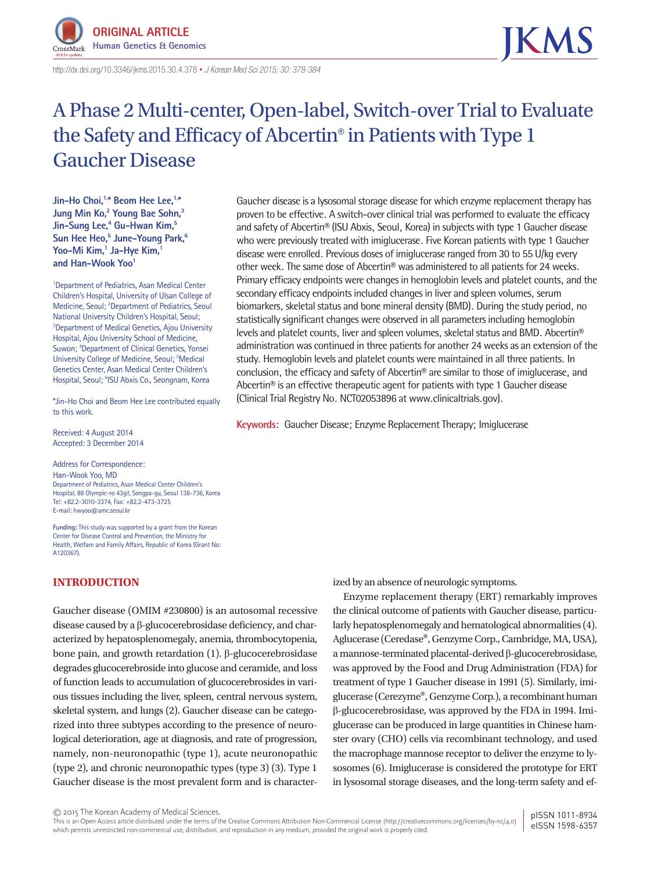

http://dx.doi.org/10.3346/ jkms.2015.30.4.378 • *J Korean Med Sci 2015; 30: 378-384*

# A Phase 2 Multi-center, Open-label, Switch-over Trial to Evaluate the Safety and Efficacy of Abcertin® in Patients with Type 1 Gaucher Disease

Jin-Ho Choi.<sup>1,\*</sup> Beom Hee Lee.<sup>1,\*</sup> **Jung Min Ko,2 Young Bae Sohn,3 Jin-Sung Lee,4 Gu-Hwan Kim,5 Sun Hee Heo,5 June-Young Park,6 Yoo-Mi Kim,1 Ja-Hye Kim,1** and Han-Wook Yoo<sup>1</sup>

<sup>1</sup>Department of Pediatrics, Asan Medical Center Children's Hospital, University of Ulsan College of Medicine, Seoul; <sup>2</sup>Department of Pediatrics, Seoul National University Children's Hospital, Seoul; <sup>3</sup>Department of Medical Genetics, Ajou University Hospital, Ajou University School of Medicine, Suwon; <sup>4</sup>Department of Clinical Genetics, Yonsei University College of Medicine, Seoul; <sup>5</sup>Medical Genetics Center, Asan Medical Center Children's Hospital, Seoul; <sup>6</sup>ISU Abxis Co., Seongnam, Korea

\*Jin-Ho Choi and Beom Hee Lee contributed equally to this work.

Received: 4 August 2014 Accepted: 3 December 2014

Address for Correspondence: Han-Wook Yoo, MD Department of Pediatrics, Asan Medical Center Children's Hospital, 88 Olympic-ro 43gil, Songpa-gu, Seoul 138-736, Korea Tel: +82.2-3010-3374, Fax: +82.2-473-3725 E-mail: hwyoo@amc.seoul.kr

**Funding:** This study was supported by a grant from the Korean Center for Disease Control and Prevention, the Ministry for Health, Welfare and Family Affairs, Republic of Korea (Grant No: A120367).

# **INTRODUCTION**

Gaucher disease (OMIM #230800) is an autosomal recessive disease caused by a β-glucocerebrosidase deficiency, and characterized by hepatosplenomegaly, anemia, thrombocytopenia, bone pain, and growth retardation (1). β-glucocerebrosidase degrades glucocerebroside into glucose and ceramide, and loss of function leads to accumulation of glucocerebrosides in various tissues including the liver, spleen, central nervous system, skeletal system, and lungs (2). Gaucher disease can be categorized into three subtypes according to the presence of neurological deterioration, age at diagnosis, and rate of progression, namely, non-neuronopathic (type 1), acute neuronopathic (type 2), and chronic neuronopathic types (type 3) (3). Type 1 Gaucher disease is the most prevalent form and is character-

Gaucher disease is a lysosomal storage disease for which enzyme replacement therapy has proven to be effective. A switch-over clinical trial was performed to evaluate the efficacy and safety of Abcertin® (ISU Abxis, Seoul, Korea) in subjects with type 1 Gaucher disease who were previously treated with imiglucerase. Five Korean patients with type 1 Gaucher disease were enrolled. Previous doses of imiglucerase ranged from 30 to 55 U/kg every other week. The same dose of Abcertin® was administered to all patients for 24 weeks. Primary efficacy endpoints were changes in hemoglobin levels and platelet counts, and the secondary efficacy endpoints included changes in liver and spleen volumes, serum biomarkers, skeletal status and bone mineral density (BMD). During the study period, no statistically significant changes were observed in all parameters including hemoglobin levels and platelet counts, liver and spleen volumes, skeletal status and BMD. Abcertin® administration was continued in three patients for another 24 weeks as an extension of the study. Hemoglobin levels and platelet counts were maintained in all three patients. In conclusion, the efficacy and safety of Abcertin® are similar to those of imiglucerase, and Abcertin® is an effective therapeutic agent for patients with type 1 Gaucher disease (Clinical Trial Registry No. NCT02053896 at www.clinicaltrials.gov).

**Keywords:** Gaucher Disease; Enzyme Replacement Therapy; Imiglucerase

ized by an absence of neurologic symptoms.

Enzyme replacement therapy (ERT) remarkably improves the clinical outcome of patients with Gaucher disease, particularly hepatosplenomegaly and hematological abnormalities (4). Aglucerase (Ceredase**®**, Genzyme Corp., Cambridge, MA, USA), a mannose-terminated placental-derived β-glucocerebrosidase, was approved by the Food and Drug Administration (FDA) for treatment of type 1 Gaucher disease in 1991 (5). Similarly, imiglucerase (Cerezyme**®**, Genzyme Corp.), a recombinant human β-glucocerebrosidase, was approved by the FDA in 1994. Imiglucerase can be produced in large quantities in Chinese hamster ovary (CHO) cells via recombinant technology, and used the macrophage mannose receptor to deliver the enzyme to lysosomes (6). Imiglucerase is considered the prototype for ERT in lysosomal storage diseases, and the long-term safety and ef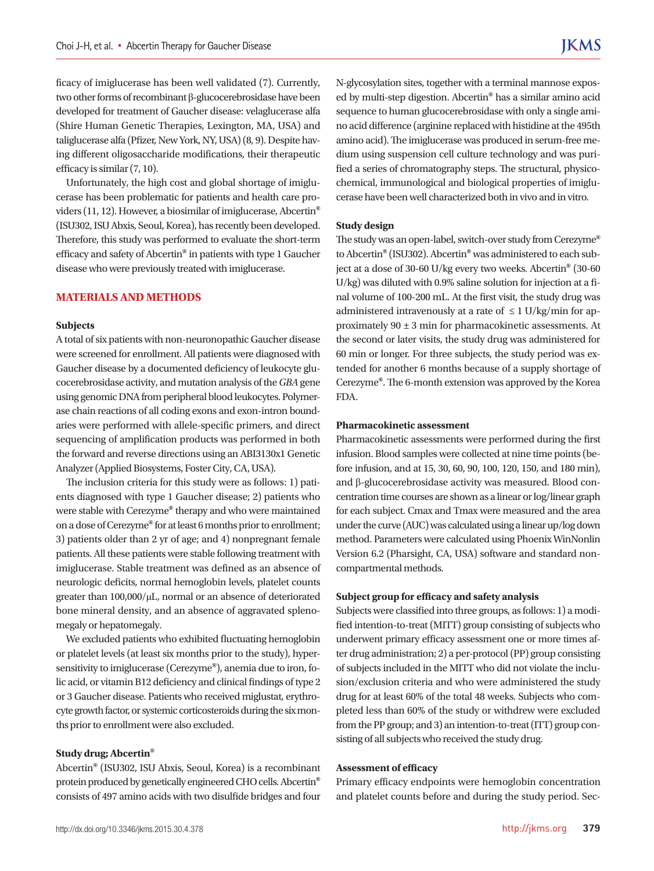ficacy of imiglucerase has been well validated (7). Currently, two other forms of recombinant β-glucocerebrosidase have been developed for treatment of Gaucher disease: velaglucerase alfa (Shire Human Genetic Therapies, Lexington, MA, USA) and taliglucerase alfa (Pfizer, New York, NY, USA) (8, 9). Despite having different oligosaccharide modifications, their therapeutic efficacy is similar (7, 10).

Unfortunately, the high cost and global shortage of imiglucerase has been problematic for patients and health care providers (11, 12). However, a biosimilar of imiglucerase, Abcertin**®** (ISU302, ISU Abxis, Seoul, Korea), has recently been developed. Therefore, this study was performed to evaluate the short-term efficacy and safety of Abcertin**®** in patients with type 1 Gaucher disease who were previously treated with imiglucerase.

# **MATERIALS AND METHODS**

#### **Subjects**

A total of six patients with non-neuronopathic Gaucher disease were screened for enrollment. All patients were diagnosed with Gaucher disease by a documented deficiency of leukocyte glucocerebrosidase activity, and mutation analysis of the *GBA* gene using genomic DNA from peripheral blood leukocytes. Polymerase chain reactions of all coding exons and exon-intron boundaries were performed with allele-specific primers, and direct sequencing of amplification products was performed in both the forward and reverse directions using an ABI3130x1 Genetic Analyzer (Applied Biosystems, Foster City, CA, USA).

The inclusion criteria for this study were as follows: 1) patients diagnosed with type 1 Gaucher disease; 2) patients who were stable with Cerezyme**®** therapy and who were maintained on a dose of Cerezyme**®** for at least 6 months prior to enrollment; 3) patients older than 2 yr of age; and 4) nonpregnant female patients. All these patients were stable following treatment with imiglucerase. Stable treatment was defined as an absence of neurologic deficits, normal hemoglobin levels, platelet counts greater than 100,000/μL, normal or an absence of deteriorated bone mineral density, and an absence of aggravated splenomegaly or hepatomegaly.

We excluded patients who exhibited fluctuating hemoglobin or platelet levels (at least six months prior to the study), hypersensitivity to imiglucerase (Cerezyme**®**), anemia due to iron, folic acid, or vitamin B12 deficiency and clinical findings of type 2 or 3 Gaucher disease. Patients who received miglustat, erythrocyte growth factor, or systemic corticosteroids during the six months prior to enrollment were also excluded.

#### **Study drug; Abcertin®**

Abcertin**®** (ISU302, ISU Abxis, Seoul, Korea) is a recombinant protein produced by genetically engineered CHO cells. Abcertin**®** consists of 497 amino acids with two disulfide bridges and four N-glycosylation sites, together with a terminal mannose exposed by multi-step digestion. Abcertin**®** has a similar amino acid sequence to human glucocerebrosidase with only a single amino acid difference (arginine replaced with histidine at the 495th amino acid). The imiglucerase was produced in serum-free medium using suspension cell culture technology and was purified a series of chromatography steps. The structural, physicochemical, immunological and biological properties of imiglucerase have been well characterized both in vivo and in vitro.

#### **Study design**

The study was an open-label, switch-over study from Cerezyme**®** to Abcertin**®** (ISU302). Abcertin**®** was administered to each subject at a dose of 30-60 U/kg every two weeks. Abcertin**®** (30-60 U/kg) was diluted with 0.9% saline solution for injection at a final volume of 100-200 mL. At the first visit, the study drug was administered intravenously at a rate of  $\leq 1$  U/kg/min for approximately 90 ± 3 min for pharmacokinetic assessments. At the second or later visits, the study drug was administered for 60 min or longer. For three subjects, the study period was extended for another 6 months because of a supply shortage of Cerezyme**®**. The 6-month extension was approved by the Korea FDA.

# **Pharmacokinetic assessment**

Pharmacokinetic assessments were performed during the first infusion. Blood samples were collected at nine time points (before infusion, and at 15, 30, 60, 90, 100, 120, 150, and 180 min), and β-glucocerebrosidase activity was measured. Blood concentration time courses are shown as a linear or log/linear graph for each subject. Cmax and Tmax were measured and the area under the curve (AUC) was calculated using a linear up/log down method. Parameters were calculated using Phoenix WinNonlin Version 6.2 (Pharsight, CA, USA) software and standard noncompartmental methods.

### **Subject group for efficacy and safety analysis**

Subjects were classified into three groups, as follows: 1) a modified intention-to-treat (MITT) group consisting of subjects who underwent primary efficacy assessment one or more times after drug administration; 2) a per-protocol (PP) group consisting of subjects included in the MITT who did not violate the inclusion/exclusion criteria and who were administered the study drug for at least 60% of the total 48 weeks. Subjects who completed less than 60% of the study or withdrew were excluded from the PP group; and 3) an intention-to-treat (ITT) group consisting of all subjects who received the study drug.

#### **Assessment of efficacy**

Primary efficacy endpoints were hemoglobin concentration and platelet counts before and during the study period. Sec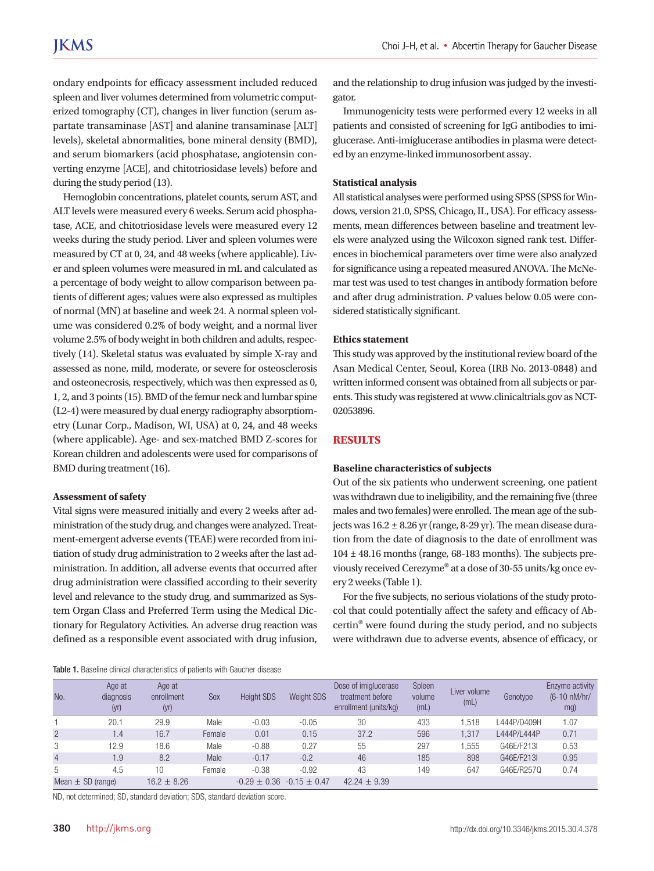ondary endpoints for efficacy assessment included reduced spleen and liver volumes determined from volumetric computerized tomography (CT), changes in liver function (serum aspartate transaminase [AST] and alanine transaminase [ALT] levels), skeletal abnormalities, bone mineral density (BMD), and serum biomarkers (acid phosphatase, angiotensin converting enzyme [ACE], and chitotriosidase levels) before and during the study period (13).

Hemoglobin concentrations, platelet counts, serum AST, and ALT levels were measured every 6 weeks. Serum acid phosphatase, ACE, and chitotriosidase levels were measured every 12 weeks during the study period. Liver and spleen volumes were measured by CT at 0, 24, and 48 weeks (where applicable). Liver and spleen volumes were measured in mL and calculated as a percentage of body weight to allow comparison between patients of different ages; values were also expressed as multiples of normal (MN) at baseline and week 24. A normal spleen volume was considered 0.2% of body weight, and a normal liver volume 2.5% of body weight in both children and adults, respectively (14). Skeletal status was evaluated by simple X-ray and assessed as none, mild, moderate, or severe for osteosclerosis and osteonecrosis, respectively, which was then expressed as 0, 1, 2, and 3 points (15). BMD of the femur neck and lumbar spine (L2-4) were measured by dual energy radiography absorptiometry (Lunar Corp., Madison, WI, USA) at 0, 24, and 48 weeks (where applicable). Age- and sex-matched BMD Z-scores for Korean children and adolescents were used for comparisons of BMD during treatment (16).

#### **Assessment of safety**

Vital signs were measured initially and every 2 weeks after administration of the study drug, and changes were analyzed. Treatment-emergent adverse events (TEAE) were recorded from initiation of study drug administration to 2 weeks after the last administration. In addition, all adverse events that occurred after drug administration were classified according to their severity level and relevance to the study drug, and summarized as System Organ Class and Preferred Term using the Medical Dictionary for Regulatory Activities. An adverse drug reaction was defined as a responsible event associated with drug infusion,

and the relationship to drug infusion was judged by the investigator.

Immunogenicity tests were performed every 12 weeks in all patients and consisted of screening for IgG antibodies to imiglucerase. Anti-imiglucerase antibodies in plasma were detected by an enzyme-linked immunosorbent assay.

# **Statistical analysis**

All statistical analyses were performed using SPSS (SPSS for Windows, version 21.0, SPSS, Chicago, IL, USA). For efficacy assessments, mean differences between baseline and treatment levels were analyzed using the Wilcoxon signed rank test. Differences in biochemical parameters over time were also analyzed for significance using a repeated measured ANOVA. The McNemar test was used to test changes in antibody formation before and after drug administration. *P* values below 0.05 were considered statistically significant.

# **Ethics statement**

This study was approved by the institutional review board of the Asan Medical Center, Seoul, Korea (IRB No. 2013-0848) and written informed consent was obtained from all subjects or parents. This study was registered at www.clinicaltrials.gov as NCT-02053896.

# **RESULTS**

# **Baseline characteristics of subjects**

Out of the six patients who underwent screening, one patient was withdrawn due to ineligibility, and the remaining five (three males and two females) were enrolled. The mean age of the subjects was 16.2 ± 8.26 yr (range, 8-29 yr). The mean disease duration from the date of diagnosis to the date of enrollment was  $104 \pm 48.16$  months (range, 68-183 months). The subjects previously received Cerezyme**®** at a dose of 30-55 units/kg once every 2 weeks (Table 1).

For the five subjects, no serious violations of the study protocol that could potentially affect the safety and efficacy of Abcertin**®** were found during the study period, and no subjects were withdrawn due to adverse events, absence of efficacy, or

#### Table 1. Baseline clinical characteristics of patients with Gaucher disease

| No.                   | Age at<br>diagnosis<br>(yr) | Age at<br>enrollment<br>(yr) | <b>Sex</b> | <b>Height SDS</b>               | Weight SDS | Dose of imiglucerase<br>treatment before<br>enrollment (units/kg) | Spleen<br>volume<br>(mL) | Liver volume<br>(mL) | Genotype    | Enzyme activity<br>(6-10 nM/hr/<br>mg) |
|-----------------------|-----------------------------|------------------------------|------------|---------------------------------|------------|-------------------------------------------------------------------|--------------------------|----------------------|-------------|----------------------------------------|
|                       | 20.1                        | 29.9                         | Male       | $-0.03$                         | $-0.05$    | 30                                                                | 433                      | .518                 | L444P/D409H | 1.07                                   |
| $\overline{2}$        | 1.4                         | 16.7                         | Female     | 0.01                            | 0.15       | 37.2                                                              | 596                      | 1.317                | L444P/L444P | 0.71                                   |
| 3                     | 12.9                        | 18.6                         | Male       | $-0.88$                         | 0.27       | 55                                                                | 297                      | .555                 | G46E/F213L  | 0.53                                   |
| $\overline{4}$        | 1.9                         | 8.2                          | Male       | $-0.17$                         | $-0.2$     | 46                                                                | 185                      | 898                  | G46E/F213I  | 0.95                                   |
| 5                     | 4.5                         | 10                           | Female     | $-0.38$                         | $-0.92$    | 43                                                                | 149                      | 647                  | G46E/R2570  | 0.74                                   |
| Mean $\pm$ SD (range) |                             | $16.2 \pm 8.26$              |            | $-0.29 \pm 0.36 -0.15 \pm 0.47$ |            | 42.24 $\pm$ 9.39                                                  |                          |                      |             |                                        |

ND, not determined; SD, standard deviation; SDS, standard deviation score.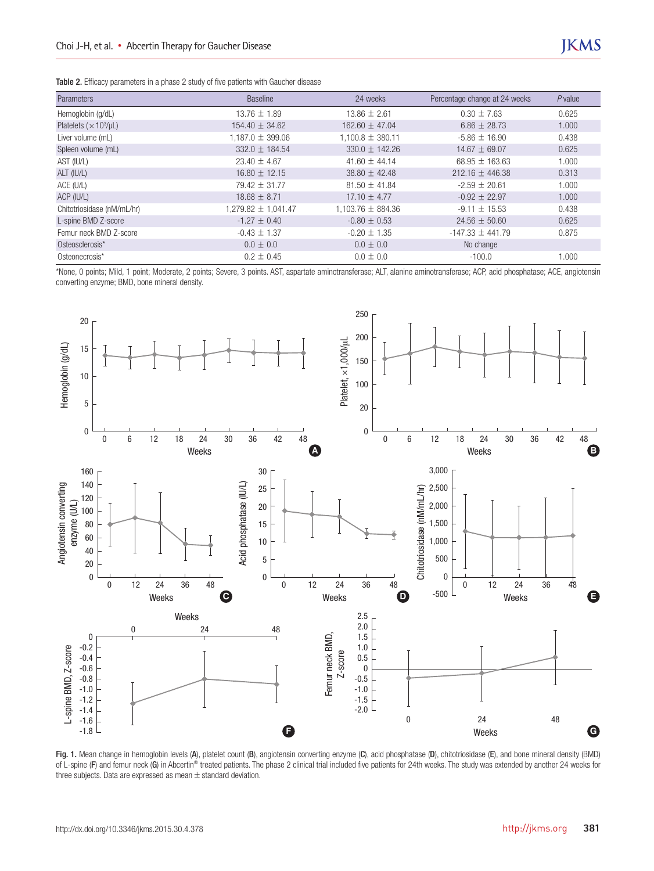Table 2. Efficacy parameters in a phase 2 study of five patients with Gaucher disease

| Parameters                                | <b>Baseline</b>      | 24 weeks              | Percentage change at 24 weeks | $P$ value |
|-------------------------------------------|----------------------|-----------------------|-------------------------------|-----------|
| Hemoglobin (g/dL)                         | $13.76 + 1.89$       | $13.86 + 2.61$        | $0.30 \pm 7.63$               | 0.625     |
| Platelets ( $\times$ 10 <sup>3</sup> /µL) | $154.40 \pm 34.62$   | $162.60 \pm 47.04$    | $6.86 \pm 28.73$              | 1.000     |
| Liver volume (mL)                         | $1,187.0 \pm 399.06$ | $1,100.8 \pm 380.11$  | $-5.86 \pm 16.90$             | 0.438     |
| Spleen volume (mL)                        | $332.0 + 184.54$     | $330.0 + 142.26$      | $14.67 + 69.07$               | 0.625     |
| AST (IU/L)                                | $23.40 \pm 4.67$     | 41.60 $\pm$ 44.14     | $68.95 \pm 163.63$            | 1.000     |
| ALT (IU/L)                                | $16.80 \pm 12.15$    | $38.80 \pm 42.48$     | $212.16 \pm 446.38$           | 0.313     |
| ACE (U/L)                                 | $79.42 \pm 31.77$    | $81.50 \pm 41.84$     | $-2.59 \pm 20.61$             | 1.000     |
| ACP (IU/L)                                | $18.68 \pm 8.71$     | $17.10 \pm 4.77$      | $-0.92 \pm 22.97$             | 1.000     |
| Chitotriosidase (nM/mL/hr)                | 1,041.47 ± 1,041.47  | $1.103.76 \pm 884.36$ | $-9.11 \pm 15.53$             | 0.438     |
| L-spine BMD Z-score                       | $-1.27 \pm 0.40$     | $-0.80 \pm 0.53$      | $24.56 \pm 50.60$             | 0.625     |
| Femur neck BMD Z-score                    | $-0.43 \pm 1.37$     | $-0.20 \pm 1.35$      | $-147.33 \pm 441.79$          | 0.875     |
| Osteosclerosis*                           | $0.0 \pm 0.0$        | $0.0 \pm 0.0$         | No change                     |           |
| Osteonecrosis*                            | $0.2 \pm 0.45$       | $0.0 \pm 0.0$         | $-100.0$                      | 1.000     |

\*None, 0 points; Mild, 1 point; Moderate, 2 points; Severe, 3 points. AST, aspartate aminotransferase; ALT, alanine aminotransferase; ACP, acid phosphatase; ACE, angiotensin converting enzyme; BMD, bone mineral density.



Fig. 1. Mean change in hemoglobin levels (A), platelet count (B), angiotensin converting enzyme (C), acid phosphatase (D), chitotriosidase (E), and bone mineral density (BMD) of L-spine (F) and femur neck (G) in Abcertin<sup>®</sup> treated patients. The phase 2 clinical trial included five patients for 24th weeks. The study was extended by another 24 weeks for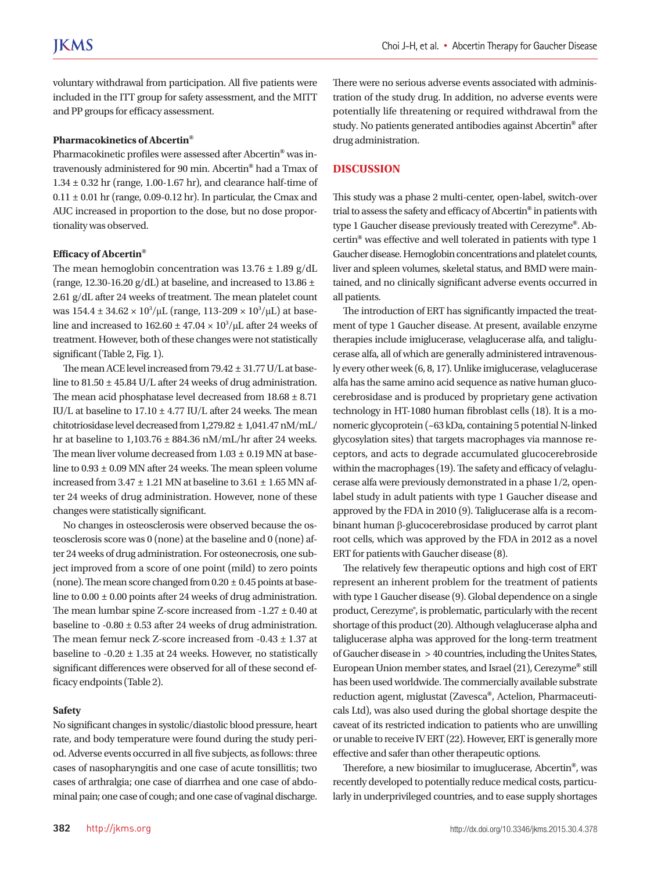voluntary withdrawal from participation. All five patients were included in the ITT group for safety assessment, and the MITT and PP groups for efficacy assessment.

#### **Pharmacokinetics of Abcertin®**

Pharmacokinetic profiles were assessed after Abcertin**®** was intravenously administered for 90 min. Abcertin**®** had a Tmax of 1.34 ± 0.32 hr (range, 1.00-1.67 hr), and clearance half-time of  $0.11 \pm 0.01$  hr (range, 0.09-0.12 hr). In particular, the Cmax and AUC increased in proportion to the dose, but no dose proportionality was observed.

# **Efficacy of Abcertin®**

The mean hemoglobin concentration was  $13.76 \pm 1.89$  g/dL (range, 12.30-16.20 g/dL) at baseline, and increased to 13.86  $\pm$ 2.61 g/dL after 24 weeks of treatment. The mean platelet count was  $154.4 \pm 34.62 \times 10^3/\mu$ L (range,  $113$ -209 ×  $10^3/\mu$ L) at baseline and increased to  $162.60 \pm 47.04 \times 10^3/\mu L$  after 24 weeks of treatment. However, both of these changes were not statistically significant (Table 2, Fig. 1).

The mean ACE level increased from 79.42 ± 31.77 U/L at baseline to 81.50 ± 45.84 U/L after 24 weeks of drug administration. The mean acid phosphatase level decreased from 18.68 ± 8.71 IU/L at baseline to  $17.10 \pm 4.77$  IU/L after 24 weeks. The mean chitotriosidase level decreased from 1,279.82 ± 1,041.47 nM/mL/ hr at baseline to  $1,103.76 \pm 884.36$  nM/mL/hr after 24 weeks. The mean liver volume decreased from  $1.03 \pm 0.19$  MN at baseline to 0.93 ± 0.09 MN after 24 weeks. The mean spleen volume increased from  $3.47 \pm 1.21$  MN at baseline to  $3.61 \pm 1.65$  MN after 24 weeks of drug administration. However, none of these changes were statistically significant.

No changes in osteosclerosis were observed because the osteosclerosis score was 0 (none) at the baseline and 0 (none) after 24 weeks of drug administration. For osteonecrosis, one subject improved from a score of one point (mild) to zero points (none). The mean score changed from  $0.20 \pm 0.45$  points at baseline to  $0.00 \pm 0.00$  points after 24 weeks of drug administration. The mean lumbar spine Z-score increased from -1.27 ± 0.40 at baseline to  $-0.80 \pm 0.53$  after 24 weeks of drug administration. The mean femur neck Z-score increased from -0.43 ± 1.37 at baseline to  $-0.20 \pm 1.35$  at 24 weeks. However, no statistically significant differences were observed for all of these second efficacy endpoints (Table 2).

# **Safety**

No significant changes in systolic/diastolic blood pressure, heart rate, and body temperature were found during the study period. Adverse events occurred in all five subjects, as follows: three cases of nasopharyngitis and one case of acute tonsillitis; two cases of arthralgia; one case of diarrhea and one case of abdominal pain; one case of cough; and one case of vaginal discharge. There were no serious adverse events associated with administration of the study drug. In addition, no adverse events were potentially life threatening or required withdrawal from the study. No patients generated antibodies against Abcertin**®** after drug administration.

# **DISCUSSION**

This study was a phase 2 multi-center, open-label, switch-over trial to assess the safety and efficacy of Abcertin**®** in patients with type 1 Gaucher disease previously treated with Cerezyme**®**. Abcertin**®** was effective and well tolerated in patients with type 1 Gaucher disease. Hemoglobin concentrations and platelet counts, liver and spleen volumes, skeletal status, and BMD were maintained, and no clinically significant adverse events occurred in all patients.

The introduction of ERT has significantly impacted the treatment of type 1 Gaucher disease. At present, available enzyme therapies include imiglucerase, velaglucerase alfa, and taliglucerase alfa, all of which are generally administered intravenously every other week (6, 8, 17). Unlike imiglucerase, velaglucerase alfa has the same amino acid sequence as native human glucocerebrosidase and is produced by proprietary gene activation technology in HT-1080 human fibroblast cells (18). It is a monomeric glycoprotein (~63 kDa, containing 5 potential N-linked glycosylation sites) that targets macrophages via mannose receptors, and acts to degrade accumulated glucocerebroside within the macrophages (19). The safety and efficacy of velaglucerase alfa were previously demonstrated in a phase 1/2, openlabel study in adult patients with type 1 Gaucher disease and approved by the FDA in 2010 (9). Taliglucerase alfa is a recombinant human β-glucocerebrosidase produced by carrot plant root cells, which was approved by the FDA in 2012 as a novel ERT for patients with Gaucher disease (8).

The relatively few therapeutic options and high cost of ERT represent an inherent problem for the treatment of patients with type 1 Gaucher disease (9). Global dependence on a single product, Cerezyme®, is problematic, particularly with the recent shortage of this product (20). Although velaglucerase alpha and taliglucerase alpha was approved for the long-term treatment of Gaucher disease in > 40 countries, including the Unites States, European Union member states, and Israel (21), Cerezyme**®** still has been used worldwide. The commercially available substrate reduction agent, miglustat (Zavesca**®**, Actelion, Pharmaceuticals Ltd), was also used during the global shortage despite the caveat of its restricted indication to patients who are unwilling or unable to receive IV ERT (22). However, ERT is generally more effective and safer than other therapeutic options.

Therefore, a new biosimilar to imuglucerase, Abcertin**®**, was recently developed to potentially reduce medical costs, particularly in underprivileged countries, and to ease supply shortages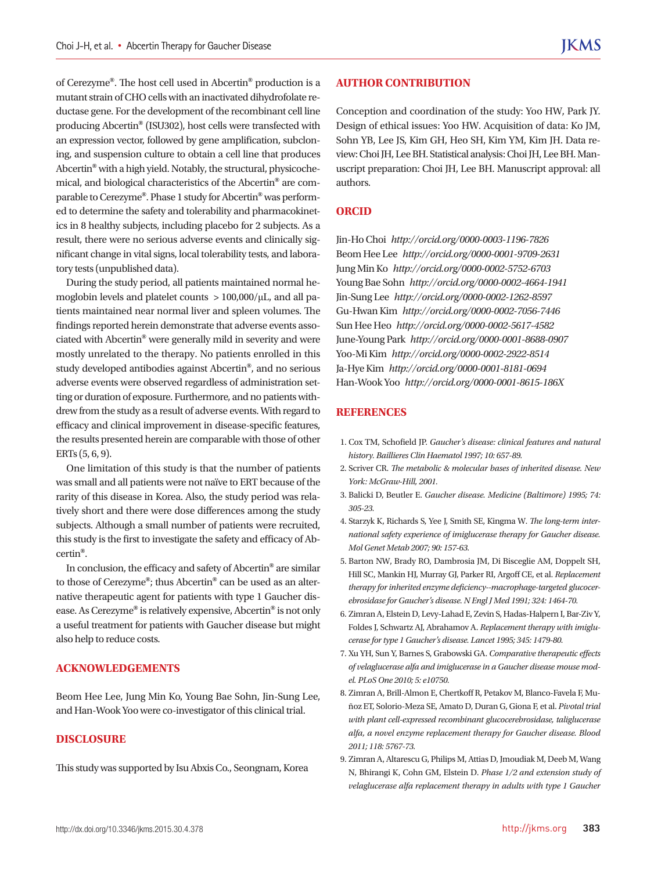of Cerezyme**®**. The host cell used in Abcertin**®** production is a mutant strain of CHO cells with an inactivated dihydrofolate reductase gene. For the development of the recombinant cell line producing Abcertin**®** (ISU302), host cells were transfected with an expression vector, followed by gene amplification, subcloning, and suspension culture to obtain a cell line that produces Abcertin**®** with a high yield. Notably, the structural, physicochemical, and biological characteristics of the Abcertin**®** are comparable to Cerezyme**®**. Phase 1 study for Abcertin**®** was performed to determine the safety and tolerability and pharmacokinetics in 8 healthy subjects, including placebo for 2 subjects. As a result, there were no serious adverse events and clinically significant change in vital signs, local tolerability tests, and laboratory tests (unpublished data).

During the study period, all patients maintained normal hemoglobin levels and platelet counts > 100,000/μL, and all patients maintained near normal liver and spleen volumes. The findings reported herein demonstrate that adverse events associated with Abcertin**®** were generally mild in severity and were mostly unrelated to the therapy. No patients enrolled in this study developed antibodies against Abcertin**®**, and no serious adverse events were observed regardless of administration setting or duration of exposure. Furthermore, and no patients withdrew from the study as a result of adverse events. With regard to efficacy and clinical improvement in disease-specific features, the results presented herein are comparable with those of other ERTs (5, 6, 9).

One limitation of this study is that the number of patients was small and all patients were not naïve to ERT because of the rarity of this disease in Korea. Also, the study period was relatively short and there were dose differences among the study subjects. Although a small number of patients were recruited, this study is the first to investigate the safety and efficacy of Abcertin**®**.

In conclusion, the efficacy and safety of Abcertin**®** are similar to those of Cerezyme**®**; thus Abcertin**®** can be used as an alternative therapeutic agent for patients with type 1 Gaucher disease. As Cerezyme**®** is relatively expensive, Abcertin**®** is not only a useful treatment for patients with Gaucher disease but might also help to reduce costs.

# **ACKNOWLEDGEMENTS**

Beom Hee Lee, Jung Min Ko, Young Bae Sohn, Jin-Sung Lee, and Han-Wook Yoo were co-investigator of this clinical trial.

#### **DISCLOSURE**

This study was supported by Isu Abxis Co., Seongnam, Korea

### **AUTHOR CONTRIBUTION**

Conception and coordination of the study: Yoo HW, Park JY. Design of ethical issues: Yoo HW. Acquisition of data: Ko JM, Sohn YB, Lee JS, Kim GH, Heo SH, Kim YM, Kim JH. Data review: Choi JH, Lee BH. Statistical analysis: Choi JH, Lee BH. Manuscript preparation: Choi JH, Lee BH. Manuscript approval: all authors.

#### **ORCID**

Jin-Ho Choi *http://orcid.org/0000-0003-1196-7826* Beom Hee Lee *http://orcid.org/0000-0001-9709-2631* Jung Min Ko *http://orcid.org/0000-0002-5752-6703* Young Bae Sohn *http://orcid.org/0000-0002-4664-1941* Jin-Sung Lee *http://orcid.org/0000-0002-1262-8597* Gu-Hwan Kim *http://orcid.org/0000-0002-7056-7446* Sun Hee Heo *http://orcid.org/0000-0002-5617-4582* June-Young Park *http://orcid.org/0000-0001-8688-0907* Yoo-Mi Kim *http://orcid.org/0000-0002-2922-8514* Ja-Hye Kim *http://orcid.org/0000-0001-8181-0694* Han-Wook Yoo *http://orcid.org/0000-0001-8615-186X*

### **REFERENCES**

- 1. Cox TM, Schofield JP. *Gaucher's disease: clinical features and natural history. Baillieres Clin Haematol 1997; 10: 657-89.*
- 2. Scriver CR. *The metabolic & molecular bases of inherited disease. New York: McGraw-Hill, 2001.*
- 3. Balicki D, Beutler E. *Gaucher disease. Medicine (Baltimore) 1995; 74: 305-23.*
- 4. Starzyk K, Richards S, Yee J, Smith SE, Kingma W. *The long-term international safety experience of imiglucerase therapy for Gaucher disease. Mol Genet Metab 2007; 90: 157-63.*
- 5. Barton NW, Brady RO, Dambrosia JM, Di Bisceglie AM, Doppelt SH, Hill SC, Mankin HJ, Murray GJ, Parker RI, Argoff CE, et al. *Replacement therapy for inherited enzyme deficiency--macrophage-targeted glucocerebrosidase for Gaucher's disease. N Engl J Med 1991; 324: 1464-70.*
- 6. Zimran A, Elstein D, Levy-Lahad E, Zevin S, Hadas-Halpern I, Bar-Ziv Y, Foldes J, Schwartz AJ, Abrahamov A. *Replacement therapy with imiglucerase for type 1 Gaucher's disease. Lancet 1995; 345: 1479-80.*
- 7. Xu YH, Sun Y, Barnes S, Grabowski GA. *Comparative therapeutic effects of velaglucerase alfa and imiglucerase in a Gaucher disease mouse model. PLoS One 2010; 5: e10750.*
- 8. Zimran A, Brill-Almon E, Chertkoff R, Petakov M, Blanco-Favela F, Muñoz ET, Solorio-Meza SE, Amato D, Duran G, Giona F, et al. *Pivotal trial with plant cell-expressed recombinant glucocerebrosidase, taliglucerase alfa, a novel enzyme replacement therapy for Gaucher disease. Blood 2011; 118: 5767-73.*
- 9. Zimran A, Altarescu G, Philips M, Attias D, Jmoudiak M, Deeb M, Wang N, Bhirangi K, Cohn GM, Elstein D. *Phase 1/2 and extension study of velaglucerase alfa replacement therapy in adults with type 1 Gaucher*